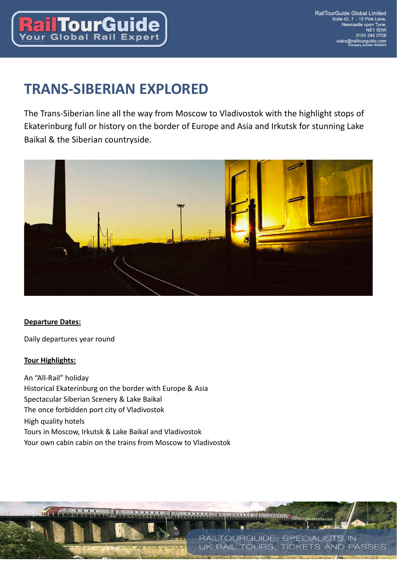

# **TRANS-SIBERIAN EXPLORED**

The Trans-Siberian line all the way from Moscow to Vladivostok with the highlight stops of Ekaterinburg full or history on the border of Europe and Asia and Irkutsk for stunning Lake Baikal & the Siberian countryside.



## **Departure Dates:**

Daily departures year round

## **Tour Highlights:**

 $\overline{\mathbf{u}}$ 

An "All-Rail" holiday Historical Ekaterinburg on the border with Europe & Asia Spectacular Siberian Scenery & Lake Baikal The once forbidden port city of Vladivostok High quality hotels Tours in Moscow, Irkutsk & Lake Baikal and Vladivostok Your own cabin cabin on the trains from Moscow to Vladivostok

RAILTOURGUIDE, SPECIALISTS IN

**BAIL TOLIBS** 

**THEOREMANN** 

**TICKETS AND PASSES**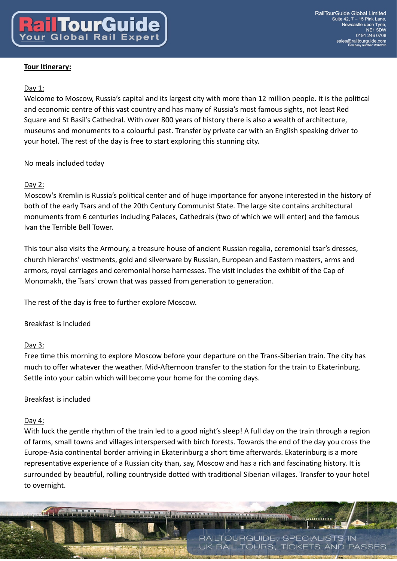# Day 1:

Welcome to Moscow, Russia's capital and its largest city with more than 12 million people. It is the political and economic centre of this vast country and has many of Russia's most famous sights, not least Red Square and St Basil's Cathedral. With over 800 years of history there is also a wealth of architecture, museums and monuments to a colourful past. Transfer by private car with an English speaking driver to your hotel. The rest of the day is free to start exploring this stunning city.

# No meals included today

# Day 2:

Moscow's Kremlin is Russia's political center and of huge importance for anyone interested in the history of both of the early Tsars and of the 20th Century Communist State. The large site contains architectural monuments from 6 centuries including Palaces, Cathedrals (two of which we will enter) and the famous Ivan the Terrible Bell Tower.

This tour also visits the Armoury, a treasure house of ancient Russian regalia, ceremonial tsar's dresses, church hierarchs' vestments, gold and silverware by Russian, European and Eastern masters, arms and armors, royal carriages and ceremonial horse harnesses. The visit includes the exhibit of the Cap of Monomakh, the Tsars' crown that was passed from generation to generation.

The rest of the day is free to further explore Moscow.

Breakfast is included

## Day 3:

Free time this morning to explore Moscow before your departure on the Trans-Siberian train. The city has much to offer whatever the weather. Mid-Afternoon transfer to the station for the train to Ekaterinburg. Settle into your cabin which will become your home for the coming days.

# Breakfast is included

## Day 4:

With luck the gentle rhythm of the train led to a good night's sleep! A full day on the train through a region of farms, small towns and villages interspersed with birch forests. Towards the end of the day you cross the Europe-Asia continental border arriving in Ekaterinburg a short time afterwards. Ekaterinburg is a more representative experience of a Russian city than, say, Moscow and has a rich and fascinating history. It is surrounded by beautiful, rolling countryside dotted with traditional Siberian villages. Transfer to your hotel to overnight.

RAILTOURGUIDE, SPECIALISTS IN **RAIL TOURS. TICKETS AND PASSES** 

**Энилипипи**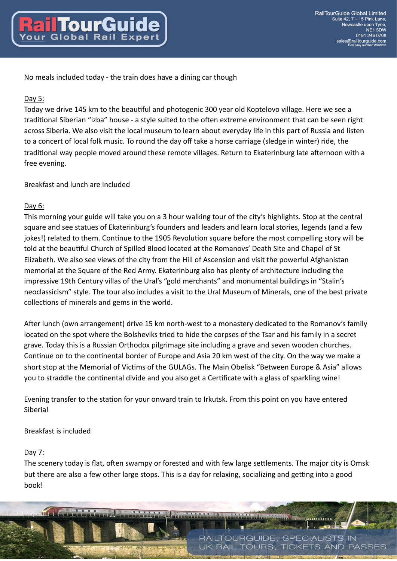No meals included today - the train does have a dining car though

#### Day 5:

Today we drive 145 km to the beautiful and photogenic 300 year old Koptelovo village. Here we see a traditional Siberian "izba" house - a style suited to the often extreme environment that can be seen right across Siberia. We also visit the local museum to learn about everyday life in this part of Russia and listen to a concert of local folk music. To round the day off take a horse carriage (sledge in winter) ride, the traditional way people moved around these remote villages. Return to Ekaterinburg late afternoon with a free evening.

#### Breakfast and lunch are included

#### Day  $6:$

This morning your guide will take you on a 3 hour walking tour of the city's highlights. Stop at the central square and see statues of Ekaterinburg's founders and leaders and learn local stories, legends (and a few jokes!) related to them. Continue to the 1905 Revolution square before the most compelling story will be told at the beautiful Church of Spilled Blood located at the Romanovs' Death Site and Chapel of St Elizabeth. We also see views of the city from the Hill of Ascension and visit the powerful Afghanistan memorial at the Square of the Red Army. Ekaterinburg also has plenty of architecture including the impressive 19th Century villas of the Ural's "gold merchants" and monumental buildings in "Stalin's neoclassicism" style. The tour also includes a visit to the Ural Museum of Minerals, one of the best private collections of minerals and gems in the world.

After lunch (own arrangement) drive 15 km north-west to a monastery dedicated to the Romanov's family located on the spot where the Bolsheviks tried to hide the corpses of the Tsar and his family in a secret grave. Today this is a Russian Orthodox pilgrimage site including a grave and seven wooden churches. Continue on to the continental border of Europe and Asia 20 km west of the city. On the way we make a short stop at the Memorial of Victims of the GULAGs. The Main Obelisk "Between Europe & Asia" allows you to straddle the continental divide and you also get a Certificate with a glass of sparkling wine!

Evening transfer to the station for your onward train to Irkutsk. From this point on you have entered Siberia!

#### Breakfast is included

#### Day 7:

The scenery today is flat, often swampy or forested and with few large settlements. The major city is Omsk but there are also a few other large stops. This is a day for relaxing, socializing and getting into a good book!

> RAILTOURGUIDE, SPECIALISTS IN **RAIL TOURS. TICKETS AND PASSES**

**THEOREMANN**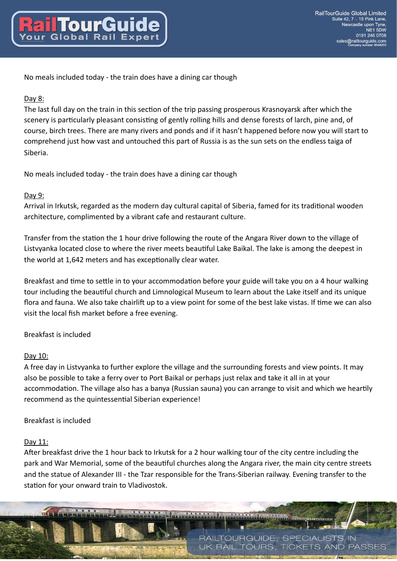No meals included today - the train does have a dining car though

# Day 8:

The last full day on the train in this section of the trip passing prosperous Krasnoyarsk after which the scenery is particularly pleasant consisting of gently rolling hills and dense forests of larch, pine and, of course, birch trees. There are many rivers and ponds and if it hasn't happened before now you will start to comprehend just how vast and untouched this part of Russia is as the sun sets on the endless taiga of Siberia.

No meals included today - the train does have a dining car though

# Day 9:

Arrival in Irkutsk, regarded as the modern day cultural capital of Siberia, famed for its traditional wooden architecture, complimented by a vibrant cafe and restaurant culture.

Transfer from the station the 1 hour drive following the route of the Angara River down to the village of Listvyanka located close to where the river meets beautiful Lake Baikal. The lake is among the deepest in the world at 1,642 meters and has exceptionally clear water.

Breakfast and time to settle in to your accommodation before your guide will take you on a 4 hour walking tour including the beautiful church and Limnological Museum to learn about the Lake itself and its unique flora and fauna. We also take chairlift up to a view point for some of the best lake vistas. If time we can also visit the local fish market before a free evening.

# Breakfast is included

## Day 10:

A free day in Listvyanka to further explore the village and the surrounding forests and view points. It may also be possible to take a ferry over to Port Baikal or perhaps just relax and take it all in at your accommodation. The village also has a banya (Russian sauna) you can arrange to visit and which we heartily recommend as the quintessential Siberian experience!

## Breakfast is included

## Day 11:

After breakfast drive the 1 hour back to Irkutsk for a 2 hour walking tour of the city centre including the park and War Memorial, some of the beautiful churches along the Angara river, the main city centre streets and the statue of Alexander III - the Tzar responsible for the Trans-Siberian railway. Evening transfer to the station for your onward train to Vladivostok.

**Энилипипи** 

RAILTOURGUIDE, SPECIALISTS IN **RAIL TOURS. TICKETS AND PASSES**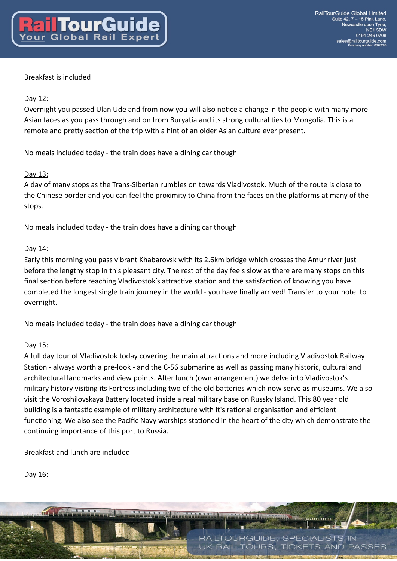# Breakfast is included

# Day 12:

Overnight you passed Ulan Ude and from now you will also notice a change in the people with many more Asian faces as you pass through and on from Buryatia and its strong cultural ties to Mongolia. This is a remote and pretty section of the trip with a hint of an older Asian culture ever present.

No meals included today - the train does have a dining car though

# Day 13:

A day of many stops as the Trans-Siberian rumbles on towards Vladivostok. Much of the route is close to the Chinese border and you can feel the proximity to China from the faces on the platforms at many of the stops.

No meals included today - the train does have a dining car though

## Day 14:

Early this morning you pass vibrant Khabarovsk with its 2.6km bridge which crosses the Amur river just before the lengthy stop in this pleasant city. The rest of the day feels slow as there are many stops on this final section before reaching Vladivostok's attractive station and the satisfaction of knowing you have completed the longest single train journey in the world - you have finally arrived! Transfer to your hotel to overnight.

No meals included today - the train does have a dining car though

## Day 15:

A full day tour of Vladivostok today covering the main attractions and more including Vladivostok Railway Station - always worth a pre-look - and the C-56 submarine as well as passing many historic, cultural and architectural landmarks and view points. After lunch (own arrangement) we delve into Vladivostok's military history visiting its Fortress including two of the old batteries which now serve as museums. We also visit the Voroshilovskaya Battery located inside a real military base on Russky Island. This 80 year old building is a fantastic example of military architecture with it's rational organisation and efficient functioning. We also see the Pacific Navy warships stationed in the heart of the city which demonstrate the continuing importance of this port to Russia.

Breakfast and lunch are included

# Day 16:

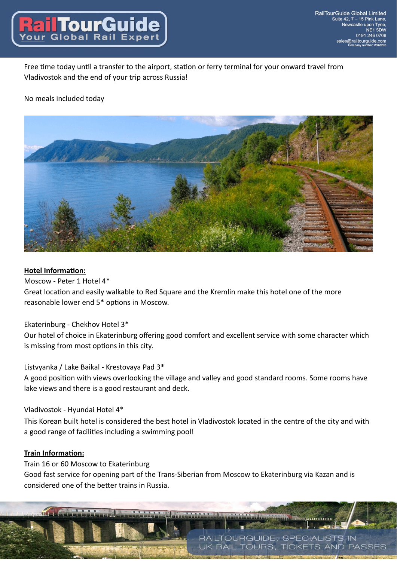

Free time today until a transfer to the airport, station or ferry terminal for your onward travel from Vladivostok and the end of your trip across Russia!

## No meals included today



#### **Hotel Information:**

Moscow - Peter 1 Hotel 4\*

Great location and easily walkable to Red Square and the Kremlin make this hotel one of the more reasonable lower end 5\* options in Moscow.

## Ekaterinburg - Chekhov Hotel 3\*

Our hotel of choice in Ekaterinburg offering good comfort and excellent service with some character which is missing from most options in this city.

#### Listvyanka / Lake Baikal - Krestovaya Pad 3\*

A good position with views overlooking the village and valley and good standard rooms. Some rooms have lake views and there is a good restaurant and deck.

#### Vladivostok - Hyundai Hotel 4\*

This Korean built hotel is considered the best hotel in Vladivostok located in the centre of the city and with a good range of facilities including a swimming pool!

#### **Train Information:**

Train 16 or 60 Moscow to Ekaterinburg Good fast service for opening part of the Trans-Siberian from Moscow to Ekaterinburg via Kazan and is considered one of the better trains in Russia.

**Le organismus** 

RAILTOURGUIDE, SPECIALISTS IN

**RAIL TOURS. TICKETS AND PASSES**